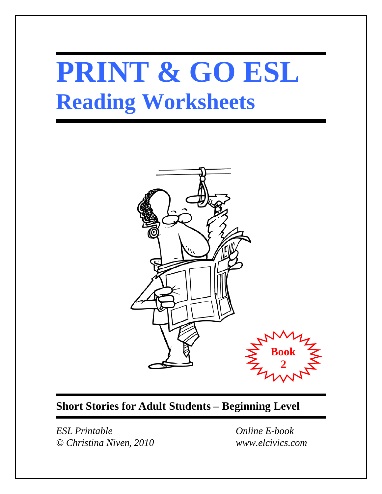# **PRINT & GO ESL Reading Worksheets**



**Short Stories for Adult Students – Beginning Level**

*ESL Printable Online E-book © Christina Niven, 2010 www.elcivics.com*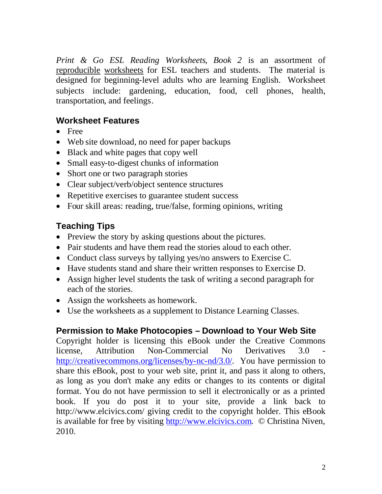*Print & Go ESL Reading Worksheets, Book 2* is an assortment of reproducible worksheets for ESL teachers and students. The material is designed for beginning-level adults who are learning English. Worksheet subjects include: gardening, education, food, cell phones, health, transportation, and feelings.

## **Worksheet Features**

- Free
- Web site download, no need for paper backups
- Black and white pages that copy well
- Small easy-to-digest chunks of information
- Short one or two paragraph stories
- Clear subject/verb/object sentence structures
- Repetitive exercises to guarantee student success
- Four skill areas: reading, true/false, forming opinions, writing

## **Teaching Tips**

- Preview the story by asking questions about the pictures.
- Pair students and have them read the stories aloud to each other.
- Conduct class surveys by tallying yes/no answers to Exercise C.
- Have students stand and share their written responses to Exercise D.
- Assign higher level students the task of writing a second paragraph for each of the stories.
- Assign the worksheets as homework.
- Use the worksheets as a supplement to Distance Learning Classes.

### **Permission to Make Photocopies – Download to Your Web Site**

Copyright holder is licensing this eBook under the Creative Commons license. Attribution Non-Commercial No Derivatives 3.0 [http://creativecommons.org/licenses/by-nc-nd/3.0/.](http://creativecommons.org/licenses/by-nc-nd/3.0/) You have permission to share this eBook, post to your web site, print it, and pass it along to others, as long as you don't make any edits or changes to its contents or digital format. You do not have permission to sell it electronically or as a printed book. If you do post it to your site, provide a link back to http://www.elcivics.com/ giving credit to the copyright holder. This eBook is available for free by visiting [http://www.elcivics.com.](http://www.elcivics.com/) © Christina Niven, 2010.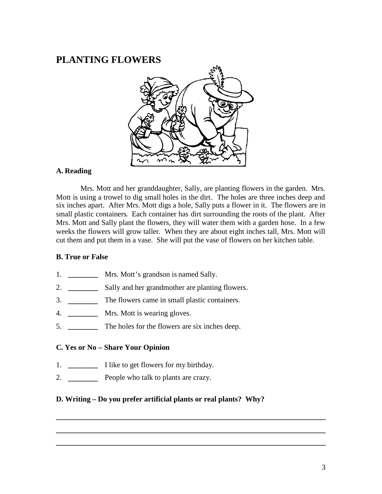## **PLANTING FLOWERS**



#### **A. Reading**

Mrs. Mott and her granddaughter, Sally, are planting flowers in the garden. Mrs. Mott is using a trowel to dig small holes in the dirt. The holes are three inches deep and six inches apart. After Mrs. Mott digs a hole, Sally puts a flower in it. The flowers are in small plastic containers. Each container has dirt surrounding the roots of the plant. After Mrs. Mott and Sally plant the flowers, they will water them with a garden hose. In a few weeks the flowers will grow taller. When they are about eight inches tall, Mrs. Mott will cut them and put them in a vase. She will put the vase of flowers on her kitchen table.

#### **B. True or False**

- 1. **\_\_\_\_\_\_\_\_** Mrs. Mott's grandson is named Sally.
- 2. **\_\_\_\_\_\_\_\_** Sally and her grandmother are planting flowers.
- 3. **\_\_\_\_\_\_\_\_** The flowers came in small plastic containers.
- 4. **\_\_\_\_\_\_\_\_** Mrs. Mott is wearing gloves.
- 5. **\_\_\_\_\_\_\_\_** The holes for the flowers are six inches deep.

#### **C. Yes or No – Share Your Opinion**

- 1. **\_\_\_\_\_\_\_\_** I like to get flowers for my birthday.
- 2. **\_\_\_\_\_\_\_\_** People who talk to plants are crazy.

#### **D. Writing – Do you prefer artificial plants or real plants? Why?**

**\_\_\_\_\_\_\_\_\_\_\_\_\_\_\_\_\_\_\_\_\_\_\_\_\_\_\_\_\_\_\_\_\_\_\_\_\_\_\_\_\_\_\_\_\_\_\_\_\_\_\_\_\_\_\_\_\_\_\_\_\_\_\_\_\_\_\_\_\_\_\_\_**

**\_\_\_\_\_\_\_\_\_\_\_\_\_\_\_\_\_\_\_\_\_\_\_\_\_\_\_\_\_\_\_\_\_\_\_\_\_\_\_\_\_\_\_\_\_\_\_\_\_\_\_\_\_\_\_\_\_\_\_\_\_\_\_\_\_\_\_\_\_\_\_\_**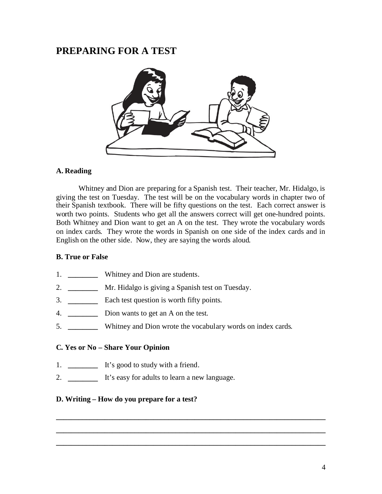## **PREPARING FOR A TEST**



#### **A. Reading**

Whitney and Dion are preparing for a Spanish test. Their teacher, Mr. Hidalgo, is giving the test on Tuesday. The test will be on the vocabulary words in chapter two of their Spanish textbook. There will be fifty questions on the test. Each correct answer is worth two points. Students who get all the answers correct will get one-hundred points. Both Whitney and Dion want to get an A on the test. They wrote the vocabulary words on index cards. They wrote the words in Spanish on one side of the index cards and in English on the other side. Now, they are saying the words aloud.

#### **B. True or False**

- 1. **Whitney and Dion are students.**
- 2. **\_\_\_\_\_\_\_\_** Mr. Hidalgo is giving a Spanish test on Tuesday.
- 3. **\_\_\_\_\_\_\_\_** Each test question is worth fifty points.
- 4. **\_\_\_\_\_\_\_\_** Dion wants to get an A on the test.
- 5. **\_\_\_\_\_\_\_\_** Whitney and Dion wrote the vocabulary words on index cards.

**\_\_\_\_\_\_\_\_\_\_\_\_\_\_\_\_\_\_\_\_\_\_\_\_\_\_\_\_\_\_\_\_\_\_\_\_\_\_\_\_\_\_\_\_\_\_\_\_\_\_\_\_\_\_\_\_\_\_\_\_\_\_\_\_\_\_\_\_\_\_\_\_**

**\_\_\_\_\_\_\_\_\_\_\_\_\_\_\_\_\_\_\_\_\_\_\_\_\_\_\_\_\_\_\_\_\_\_\_\_\_\_\_\_\_\_\_\_\_\_\_\_\_\_\_\_\_\_\_\_\_\_\_\_\_\_\_\_\_\_\_\_\_\_\_\_**

**\_\_\_\_\_\_\_\_\_\_\_\_\_\_\_\_\_\_\_\_\_\_\_\_\_\_\_\_\_\_\_\_\_\_\_\_\_\_\_\_\_\_\_\_\_\_\_\_\_\_\_\_\_\_\_\_\_\_\_\_\_\_\_\_\_\_\_\_\_\_\_\_**

#### **C. Yes or No – Share Your Opinion**

- 1. **\_\_\_\_\_\_\_\_** It's good to study with a friend.
- 2. **\_\_\_\_\_\_\_\_** It's easy for adults to learn a new language.

#### **D. Writing – How do you prepare for a test?**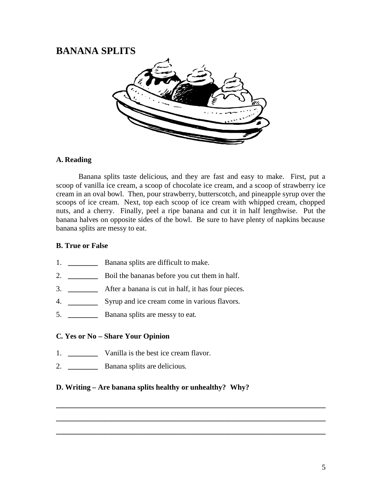## **BANANA SPLITS**



#### **A. Reading**

Banana splits taste delicious, and they are fast and easy to make. First, put a scoop of vanilla ice cream, a scoop of chocolate ice cream, and a scoop of strawberry ice cream in an oval bowl. Then, pour strawberry, butterscotch, and pineapple syrup over the scoops of ice cream. Next, top each scoop of ice cream with whipped cream, chopped nuts, and a cherry. Finally, peel a ripe banana and cut it in half lengthwise. Put the banana halves on opposite sides of the bowl. Be sure to have plenty of napkins because banana splits are messy to eat.

**\_\_\_\_\_\_\_\_\_\_\_\_\_\_\_\_\_\_\_\_\_\_\_\_\_\_\_\_\_\_\_\_\_\_\_\_\_\_\_\_\_\_\_\_\_\_\_\_\_\_\_\_\_\_\_\_\_\_\_\_\_\_\_\_\_\_\_\_\_\_\_\_**

**\_\_\_\_\_\_\_\_\_\_\_\_\_\_\_\_\_\_\_\_\_\_\_\_\_\_\_\_\_\_\_\_\_\_\_\_\_\_\_\_\_\_\_\_\_\_\_\_\_\_\_\_\_\_\_\_\_\_\_\_\_\_\_\_\_\_\_\_\_\_\_\_**

**\_\_\_\_\_\_\_\_\_\_\_\_\_\_\_\_\_\_\_\_\_\_\_\_\_\_\_\_\_\_\_\_\_\_\_\_\_\_\_\_\_\_\_\_\_\_\_\_\_\_\_\_\_\_\_\_\_\_\_\_\_\_\_\_\_\_\_\_\_\_\_\_**

#### **B. True or False**

- 1. **\_\_\_\_\_\_\_\_** Banana splits are difficult to make.
- 2. **\_\_\_\_\_\_\_\_** Boil the bananas before you cut them in half.
- 3. **\_\_\_\_\_\_\_\_** After a banana is cut in half, it has four pieces.
- 4. **\_\_\_\_\_\_\_\_** Syrup and ice cream come in various flavors.
- 5. **\_\_\_\_\_\_\_\_** Banana splits are messy to eat.

#### **C. Yes or No – Share Your Opinion**

- 1. **\_\_\_\_\_\_\_\_** Vanilla is the best ice cream flavor.
- 2. **\_\_\_\_\_\_\_\_** Banana splits are delicious.

#### **D. Writing – Are banana splits healthy or unhealthy? Why?**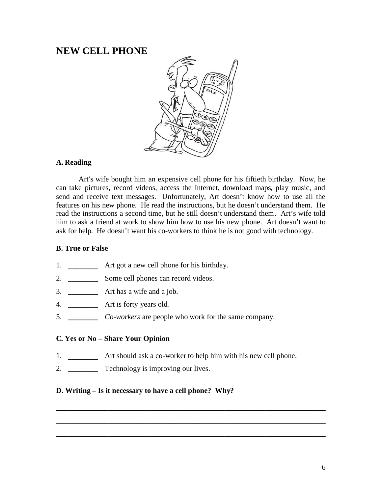## **NEW CELL PHONE**



#### **A. Reading**

Art's wife bought him an expensive cell phone for his fiftieth birthday. Now, he can take pictures, record videos, access the Internet, download maps, play music, and send and receive text messages. Unfortunately, Art doesn't know how to use all the features on his new phone. He read the instructions, but he doesn't understand them. He read the instructions a second time, but he still doesn't understand them. Art's wife told him to ask a friend at work to show him how to use his new phone. Art doesn't want to ask for help. He doesn't want his co-workers to think he is not good with technology.

#### **B. True or False**

- 1. **\_\_\_\_\_\_\_\_** Art got a new cell phone for his birthday.
- 2. **\_\_\_\_\_\_\_\_** Some cell phones can record videos.
- 3. **\_\_\_\_\_\_\_\_** Art has a wife and a job.
- 4. **\_\_\_\_\_\_\_\_** Art is forty years old.
- 5. **\_\_\_\_\_\_\_\_** *Co-workers* are people who work for the same company.

#### **C. Yes or No – Share Your Opinion**

1. **\_\_\_\_\_\_\_\_** Art should ask a co-worker to help him with his new cell phone.

**\_\_\_\_\_\_\_\_\_\_\_\_\_\_\_\_\_\_\_\_\_\_\_\_\_\_\_\_\_\_\_\_\_\_\_\_\_\_\_\_\_\_\_\_\_\_\_\_\_\_\_\_\_\_\_\_\_\_\_\_\_\_\_\_\_\_\_\_\_\_\_\_**

**\_\_\_\_\_\_\_\_\_\_\_\_\_\_\_\_\_\_\_\_\_\_\_\_\_\_\_\_\_\_\_\_\_\_\_\_\_\_\_\_\_\_\_\_\_\_\_\_\_\_\_\_\_\_\_\_\_\_\_\_\_\_\_\_\_\_\_\_\_\_\_\_**

**\_\_\_\_\_\_\_\_\_\_\_\_\_\_\_\_\_\_\_\_\_\_\_\_\_\_\_\_\_\_\_\_\_\_\_\_\_\_\_\_\_\_\_\_\_\_\_\_\_\_\_\_\_\_\_\_\_\_\_\_\_\_\_\_\_\_\_\_\_\_\_\_**

2. **\_\_\_\_\_\_\_\_** Technology is improving our lives.

#### **D. Writing – Is it necessary to have a cell phone? Why?**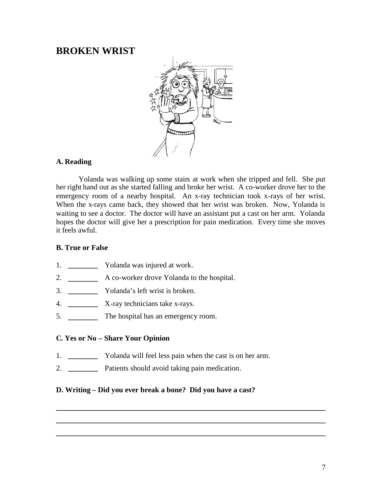## **BROKEN WRIST**



#### **A. Reading**

Yolanda was walking up some stairs at work when she tripped and fell. She put her right hand out as she started falling and broke her wrist. A co-worker drove her to the emergency room of a nearby hospital. An x-ray technician took x-rays of her wrist. When the x-rays came back, they showed that her wrist was broken. Now, Yolanda is waiting to see a doctor. The doctor will have an assistant put a cast on her arm. Yolanda hopes the doctor will give her a prescription for pain medication. Every time she moves it feels awful.

#### **B. True or False**

- 1. **\_\_\_\_\_\_\_\_** Yolanda was injured at work.
- 2. **\_\_\_\_\_\_\_\_** A co-worker drove Yolanda to the hospital.
- 3. **\_\_\_\_\_\_\_\_** Yolanda's left wrist is broken.
- 4. **\_\_\_\_\_\_\_\_** X-ray technicians take x-rays.
- 5. **\_\_\_\_\_\_\_\_** The hospital has an emergency room.

#### **C. Yes or No – Share Your Opinion**

1. **\_\_\_\_\_\_\_\_** Yolanda will feel less pain when the cast is on her arm.

**\_\_\_\_\_\_\_\_\_\_\_\_\_\_\_\_\_\_\_\_\_\_\_\_\_\_\_\_\_\_\_\_\_\_\_\_\_\_\_\_\_\_\_\_\_\_\_\_\_\_\_\_\_\_\_\_\_\_\_\_\_\_\_\_\_\_\_\_\_\_\_\_**

**\_\_\_\_\_\_\_\_\_\_\_\_\_\_\_\_\_\_\_\_\_\_\_\_\_\_\_\_\_\_\_\_\_\_\_\_\_\_\_\_\_\_\_\_\_\_\_\_\_\_\_\_\_\_\_\_\_\_\_\_\_\_\_\_\_\_\_\_\_\_\_\_**

**\_\_\_\_\_\_\_\_\_\_\_\_\_\_\_\_\_\_\_\_\_\_\_\_\_\_\_\_\_\_\_\_\_\_\_\_\_\_\_\_\_\_\_\_\_\_\_\_\_\_\_\_\_\_\_\_\_\_\_\_\_\_\_\_\_\_\_\_\_\_\_\_**

2. **\_\_\_\_\_\_\_\_** Patients should avoid taking pain medication.

#### **D. Writing – Did you ever break a bone? Did you have a cast?**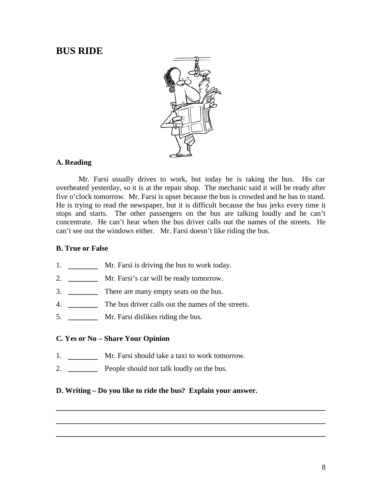## **BUS RIDE**



#### **A. Reading**

Mr. Farsi usually drives to work, but today he is taking the bus. His car overheated yesterday, so it is at the repair shop. The mechanic said it will be ready after five o'clock tomorrow. Mr. Farsi is upset because the bus is crowded and he has to stand. He is trying to read the newspaper, but it is difficult because the bus jerks every time it stops and starts. The other passengers on the bus are talking loudly and he can't concentrate. He can't hear when the bus driver calls out the names of the streets. He can't see out the windows either. Mr. Farsi doesn't like riding the bus.

#### **B. True or False**

- 1. **\_\_\_\_\_\_\_\_** Mr. Farsi is driving the bus to work today.
- 2. **\_\_\_\_\_\_\_\_** Mr. Farsi's car will be ready tomorrow.
- 3. **\_\_\_\_\_\_\_\_** There are many empty seats on the bus.
- 4. **\_\_\_\_\_\_\_\_** The bus driver calls out the names of the streets.
- 5. **\_\_\_\_\_\_\_\_** Mr. Farsi dislikes riding the bus.

#### **C. Yes or No – Share Your Opinion**

- 1. **\_\_\_\_\_\_\_\_** Mr. Farsi should take a taxi to work tomorrow.
- 2. **\_\_\_\_\_\_\_\_** People should not talk loudly on the bus.

#### **D. Writing – Do you like to ride the bus? Explain your answer.**

**\_\_\_\_\_\_\_\_\_\_\_\_\_\_\_\_\_\_\_\_\_\_\_\_\_\_\_\_\_\_\_\_\_\_\_\_\_\_\_\_\_\_\_\_\_\_\_\_\_\_\_\_\_\_\_\_\_\_\_\_\_\_\_\_\_\_\_\_\_\_\_\_**

**\_\_\_\_\_\_\_\_\_\_\_\_\_\_\_\_\_\_\_\_\_\_\_\_\_\_\_\_\_\_\_\_\_\_\_\_\_\_\_\_\_\_\_\_\_\_\_\_\_\_\_\_\_\_\_\_\_\_\_\_\_\_\_\_\_\_\_\_\_\_\_\_**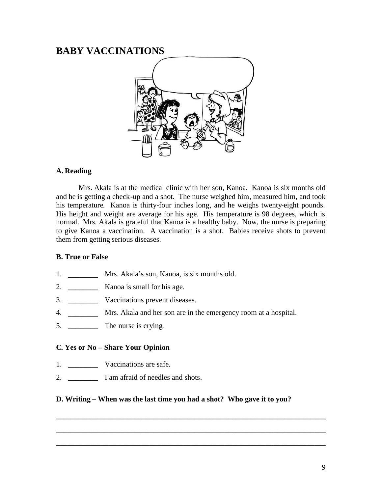## **BABY VACCINATIONS**



#### **A. Reading**

Mrs. Akala is at the medical clinic with her son, Kanoa. Kanoa is six months old and he is getting a check-up and a shot. The nurse weighed him, measured him, and took his temperature. Kanoa is thirty-four inches long, and he weighs twenty-eight pounds. His height and weight are average for his age. His temperature is 98 degrees, which is normal. Mrs. Akala is grateful that Kanoa is a healthy baby. Now, the nurse is preparing to give Kanoa a vaccination. A vaccination is a shot. Babies receive shots to prevent them from getting serious diseases.

#### **B. True or False**

- 1. **Mrs. Akala's son, Kanoa, is six months old.**
- 2. **\_\_\_\_\_\_\_\_** Kanoa is small for his age.
- 3. **\_\_\_\_\_\_\_\_** Vaccinations prevent diseases.
- 4. **\_\_\_\_\_\_\_\_** Mrs. Akala and her son are in the emergency room at a hospital.
- 5. **\_\_\_\_\_\_\_\_** The nurse is crying.

#### **C. Yes or No – Share Your Opinion**

- 1. **\_\_\_\_\_\_\_\_** Vaccinations are safe.
- 2. **\_\_\_\_\_\_\_\_** I am afraid of needles and shots.

#### **D. Writing – When was the last time you had a shot? Who gave it to you?**

**\_\_\_\_\_\_\_\_\_\_\_\_\_\_\_\_\_\_\_\_\_\_\_\_\_\_\_\_\_\_\_\_\_\_\_\_\_\_\_\_\_\_\_\_\_\_\_\_\_\_\_\_\_\_\_\_\_\_\_\_\_\_\_\_\_\_\_\_\_\_\_\_**

**\_\_\_\_\_\_\_\_\_\_\_\_\_\_\_\_\_\_\_\_\_\_\_\_\_\_\_\_\_\_\_\_\_\_\_\_\_\_\_\_\_\_\_\_\_\_\_\_\_\_\_\_\_\_\_\_\_\_\_\_\_\_\_\_\_\_\_\_\_\_\_\_**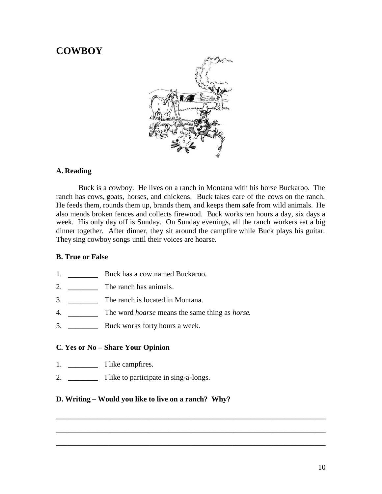## **COWBOY**



#### **A. Reading**

Buck is a cowboy. He lives on a ranch in Montana with his horse Buckaroo. The ranch has cows, goats, horses, and chickens. Buck takes care of the cows on the ranch. He feeds them, rounds them up, brands them, and keeps them safe from wild animals. He also mends broken fences and collects firewood. Buck works ten hours a day, six days a week. His only day off is Sunday. On Sunday evenings, all the ranch workers eat a big dinner together. After dinner, they sit around the campfire while Buck plays his guitar. They sing cowboy songs until their voices are hoarse.

**\_\_\_\_\_\_\_\_\_\_\_\_\_\_\_\_\_\_\_\_\_\_\_\_\_\_\_\_\_\_\_\_\_\_\_\_\_\_\_\_\_\_\_\_\_\_\_\_\_\_\_\_\_\_\_\_\_\_\_\_\_\_\_\_\_\_\_\_\_\_\_\_**

**\_\_\_\_\_\_\_\_\_\_\_\_\_\_\_\_\_\_\_\_\_\_\_\_\_\_\_\_\_\_\_\_\_\_\_\_\_\_\_\_\_\_\_\_\_\_\_\_\_\_\_\_\_\_\_\_\_\_\_\_\_\_\_\_\_\_\_\_\_\_\_\_**

**\_\_\_\_\_\_\_\_\_\_\_\_\_\_\_\_\_\_\_\_\_\_\_\_\_\_\_\_\_\_\_\_\_\_\_\_\_\_\_\_\_\_\_\_\_\_\_\_\_\_\_\_\_\_\_\_\_\_\_\_\_\_\_\_\_\_\_\_\_\_\_\_**

#### **B. True or False**

- 1. **Buck has a cow named Buckaroo.**
- 2. **\_\_\_\_\_\_\_\_** The ranch has animals.
- 3. **\_\_\_\_\_\_\_\_** The ranch is located in Montana.
- 4. **\_\_\_\_\_\_\_\_** The word *hoarse* means the same thing as *horse*.
- 5. **\_\_\_\_\_\_\_\_** Buck works forty hours a week.

#### **C. Yes or No – Share Your Opinion**

- 1. **\_\_\_\_\_\_\_\_** I like campfires.
- 2. **\_\_\_\_\_\_\_\_** I like to participate in sing-a-longs.

#### **D. Writing – Would you like to live on a ranch? Why?**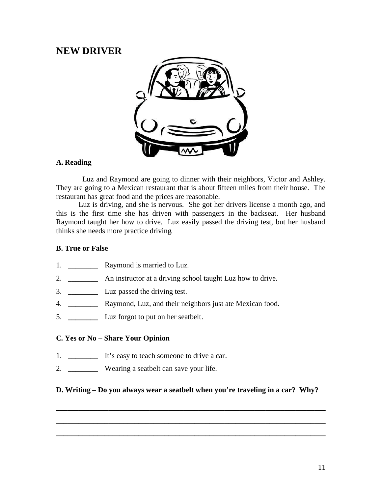## **NEW DRIVER**



#### **A. Reading**

Luz and Raymond are going to dinner with their neighbors, Victor and Ashley. They are going to a Mexican restaurant that is about fifteen miles from their house. The restaurant has great food and the prices are reasonable.

Luz is driving, and she is nervous. She got her drivers license a month ago, and this is the first time she has driven with passengers in the backseat. Her husband Raymond taught her how to drive. Luz easily passed the driving test, but her husband thinks she needs more practice driving.

#### **B. True or False**

- 1. **\_\_\_\_\_\_\_\_** Raymond is married to Luz.
- 2. **\_\_\_\_\_\_\_\_** An instructor at a driving school taught Luz how to drive.
- 3. **\_\_\_\_\_\_\_\_** Luz passed the driving test.
- 4. **\_\_\_\_\_\_\_\_** Raymond, Luz, and their neighbors just ate Mexican food.
- 5. **\_\_\_\_\_\_\_\_** Luz forgot to put on her seatbelt.

#### **C. Yes or No – Share Your Opinion**

- 1. **\_\_\_\_\_** It's easy to teach someone to drive a car.
- 2. **\_\_\_\_\_\_\_\_** Wearing a seatbelt can save your life.

#### **D. Writing – Do you always wear a seatbelt when you're traveling in a car? Why?**

**\_\_\_\_\_\_\_\_\_\_\_\_\_\_\_\_\_\_\_\_\_\_\_\_\_\_\_\_\_\_\_\_\_\_\_\_\_\_\_\_\_\_\_\_\_\_\_\_\_\_\_\_\_\_\_\_\_\_\_\_\_\_\_\_\_\_\_\_\_\_\_\_**

**\_\_\_\_\_\_\_\_\_\_\_\_\_\_\_\_\_\_\_\_\_\_\_\_\_\_\_\_\_\_\_\_\_\_\_\_\_\_\_\_\_\_\_\_\_\_\_\_\_\_\_\_\_\_\_\_\_\_\_\_\_\_\_\_\_\_\_\_\_\_\_\_**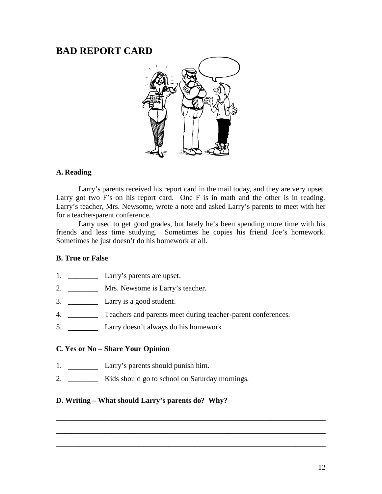## **BAD REPORT CARD**



#### **A. Reading**

Larry's parents received his report card in the mail today, and they are very upset. Larry got two F's on his report card. One F is in math and the other is in reading. Larry's teacher, Mrs. Newsome, wrote a note and asked Larry's parents to meet with her for a teacher-parent conference.

Larry used to get good grades, but lately he's been spending more time with his friends and less time studying. Sometimes he copies his friend Joe's homework. Sometimes he just doesn't do his homework at all.

**\_\_\_\_\_\_\_\_\_\_\_\_\_\_\_\_\_\_\_\_\_\_\_\_\_\_\_\_\_\_\_\_\_\_\_\_\_\_\_\_\_\_\_\_\_\_\_\_\_\_\_\_\_\_\_\_\_\_\_\_\_\_\_\_\_\_\_\_\_\_\_\_**

**\_\_\_\_\_\_\_\_\_\_\_\_\_\_\_\_\_\_\_\_\_\_\_\_\_\_\_\_\_\_\_\_\_\_\_\_\_\_\_\_\_\_\_\_\_\_\_\_\_\_\_\_\_\_\_\_\_\_\_\_\_\_\_\_\_\_\_\_\_\_\_\_**

**\_\_\_\_\_\_\_\_\_\_\_\_\_\_\_\_\_\_\_\_\_\_\_\_\_\_\_\_\_\_\_\_\_\_\_\_\_\_\_\_\_\_\_\_\_\_\_\_\_\_\_\_\_\_\_\_\_\_\_\_\_\_\_\_\_\_\_\_\_\_\_\_**

#### **B. True or False**

- 1. **\_\_\_\_\_\_\_\_** Larry's parents are upset.
- 2. **\_\_\_\_\_\_\_\_** Mrs. Newsome is Larry's teacher.
- 3. **\_\_\_\_\_\_\_\_** Larry is a good student.
- 4. **\_\_\_\_\_\_\_\_** Teachers and parents meet during teacher-parent conferences.
- 5. **\_\_\_\_\_\_\_\_** Larry doesn't always do his homework.

#### **C. Yes or No – Share Your Opinion**

- 1. **\_\_\_\_\_\_\_\_** Larry's parents should punish him.
- 2. **\_\_\_\_\_\_\_\_** Kids should go to school on Saturday mornings.

#### **D. Writing – What should Larry's parents do? Why?**